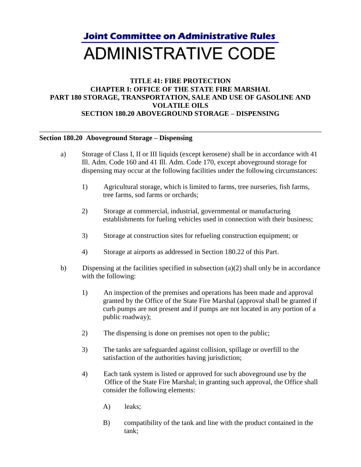## **Joint Committee on Administrative Rules ADMINISTRATIVE CODE**

## **TITLE 41: FIRE PROTECTION CHAPTER I: OFFICE OF THE STATE FIRE MARSHAL PART 180 STORAGE, TRANSPORTATION, SALE AND USE OF GASOLINE AND VOLATILE OILS SECTION 180.20 ABOVEGROUND STORAGE – DISPENSING**

## **Section 180.20 Aboveground Storage – Dispensing**

- a) Storage of Class I, II or III liquids (except kerosene) shall be in accordance with 41 Ill. Adm. Code 160 and 41 Ill. Adm. Code 170, except aboveground storage for dispensing may occur at the following facilities under the following circumstances:
	- 1) Agricultural storage, which is limited to farms, tree nurseries, fish farms, tree farms, sod farms or orchards;
	- 2) Storage at commercial, industrial, governmental or manufacturing establishments for fueling vehicles used in connection with their business;
	- 3) Storage at construction sites for refueling construction equipment; or
	- 4) Storage at airports as addressed in Section 180.22 of this Part.
- b) Dispensing at the facilities specified in subsection  $(a)(2)$  shall only be in accordance with the following:
	- 1) An inspection of the premises and operations has been made and approval granted by the Office of the State Fire Marshal (approval shall be granted if curb pumps are not present and if pumps are not located in any portion of a public roadway);
	- 2) The dispensing is done on premises not open to the public;
	- 3) The tanks are safeguarded against collision, spillage or overfill to the satisfaction of the authorities having jurisdiction;
	- 4) Each tank system is listed or approved for such aboveground use by the Office of the State Fire Marshal; in granting such approval, the Office shall consider the following elements:
		- A) leaks;
		- B) compatibility of the tank and line with the product contained in the tank;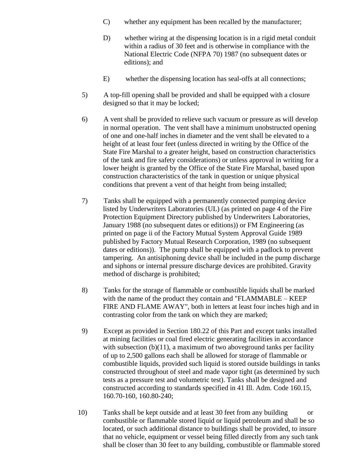- C) whether any equipment has been recalled by the manufacturer;
- D) whether wiring at the dispensing location is in a rigid metal conduit within a radius of 30 feet and is otherwise in compliance with the National Electric Code (NFPA 70) 1987 (no subsequent dates or editions); and
- E) whether the dispensing location has seal-offs at all connections;
- 5) A top-fill opening shall be provided and shall be equipped with a closure designed so that it may be locked;
- 6) A vent shall be provided to relieve such vacuum or pressure as will develop in normal operation. The vent shall have a minimum unobstructed opening of one and one-half inches in diameter and the vent shall be elevated to a height of at least four feet (unless directed in writing by the Office of the State Fire Marshal to a greater height, based on construction characteristics of the tank and fire safety considerations) or unless approval in writing for a lower height is granted by the Office of the State Fire Marshal, based upon construction characteristics of the tank in question or unique physical conditions that prevent a vent of that height from being installed;
- 7) Tanks shall be equipped with a permanently connected pumping device listed by Underwriters Laboratories (UL) (as printed on page 4 of the Fire Protection Equipment Directory published by Underwriters Laboratories, January 1988 (no subsequent dates or editions)) or FM Engineering (as printed on page ii of the Factory Mutual System Approval Guide 1989 published by Factory Mutual Research Corporation, 1989 (no subsequent dates or editions)). The pump shall be equipped with a padlock to prevent tampering. An antisiphoning device shall be included in the pump discharge and siphons or internal pressure discharge devices are prohibited. Gravity method of discharge is prohibited;
- 8) Tanks for the storage of flammable or combustible liquids shall be marked with the name of the product they contain and "FLAMMABLE – KEEP FIRE AND FLAME AWAY", both in letters at least four inches high and in contrasting color from the tank on which they are marked;
- 9) Except as provided in Section 180.22 of this Part and except tanks installed at mining facilities or coal fired electric generating facilities in accordance with subsection  $(b)(11)$ , a maximum of two aboveground tanks per facility of up to 2,500 gallons each shall be allowed for storage of flammable or combustible liquids, provided such liquid is stored outside buildings in tanks constructed throughout of steel and made vapor tight (as determined by such tests as a pressure test and volumetric test). Tanks shall be designed and constructed according to standards specified in 41 Ill. Adm. Code 160.15, 160.70-160, 160.80-240;
- 10) Tanks shall be kept outside and at least 30 feet from any building or combustible or flammable stored liquid or liquid petroleum and shall be so located, or such additional distance to buildings shall be provided, to insure that no vehicle, equipment or vessel being filled directly from any such tank shall be closer than 30 feet to any building, combustible or flammable stored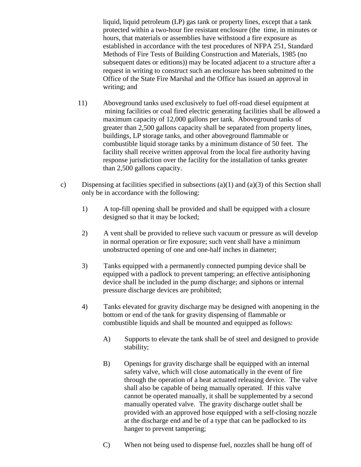liquid, liquid petroleum (LP) gas tank or property lines, except that a tank protected within a two-hour fire resistant enclosure (the time, in minutes or hours, that materials or assemblies have withstood a fire exposure as established in accordance with the test procedures of NFPA 251, Standard Methods of Fire Tests of Building Construction and Materials, 1985 (no subsequent dates or editions)) may be located adjacent to a structure after a request in writing to construct such an enclosure has been submitted to the Office of the State Fire Marshal and the Office has issued an approval in writing; and

- 11) Aboveground tanks used exclusively to fuel off-road diesel equipment at mining facilities or coal fired electric generating facilities shall be allowed a maximum capacity of 12,000 gallons per tank. Aboveground tanks of greater than 2,500 gallons capacity shall be separated from property lines, buildings, LP storage tanks, and other aboveground flammable or combustible liquid storage tanks by a minimum distance of 50 feet. The facility shall receive written approval from the local fire authority having response jurisdiction over the facility for the installation of tanks greater than 2,500 gallons capacity.
- c) Dispensing at facilities specified in subsections (a)(1) and (a)(3) of this Section shall only be in accordance with the following:
	- 1) A top-fill opening shall be provided and shall be equipped with a closure designed so that it may be locked;
	- 2) A vent shall be provided to relieve such vacuum or pressure as will develop in normal operation or fire exposure; such vent shall have a minimum unobstructed opening of one and one-half inches in diameter;
	- 3) Tanks equipped with a permanently connected pumping device shall be equipped with a padlock to prevent tampering; an effective antisiphoning device shall be included in the pump discharge; and siphons or internal pressure discharge devices are prohibited;
	- 4) Tanks elevated for gravity discharge may be designed with anopening in the bottom or end of the tank for gravity dispensing of flammable or combustible liquids and shall be mounted and equipped as follows:
		- A) Supports to elevate the tank shall be of steel and designed to provide stability;
		- B) Openings for gravity discharge shall be equipped with an internal safety valve, which will close automatically in the event of fire through the operation of a heat actuated releasing device. The valve shall also be capable of being manually operated. If this valve cannot be operated manually, it shall be supplemented by a second manually operated valve. The gravity discharge outlet shall be provided with an approved hose equipped with a self-closing nozzle at the discharge end and be of a type that can be padlocked to its hanger to prevent tampering;
		- C) When not being used to dispense fuel, nozzles shall be hung off of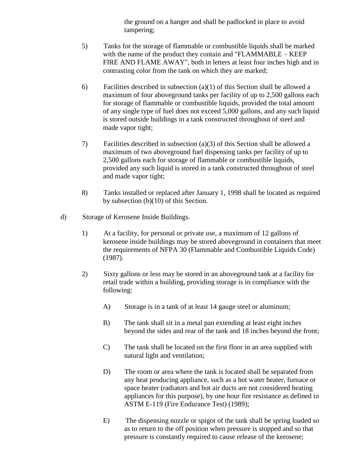the ground on a hanger and shall be padlocked in place to avoid tampering;

- 5) Tanks for the storage of flammable or combustible liquids shall be marked with the name of the product they contain and "FLAMMABLE – KEEP FIRE AND FLAME AWAY", both in letters at least four inches high and in contrasting color from the tank on which they are marked;
- 6) Facilities described in subsection (a)(1) of this Section shall be allowed a maximum of four aboveground tanks per facility of up to 2,500 gallons each for storage of flammable or combustible liquids, provided the total amount of any single type of fuel does not exceed 5,000 gallons, and any such liquid is stored outside buildings in a tank constructed throughout of steel and made vapor tight;
- 7) Facilities described in subsection (a)(3) of this Section shall be allowed a maximum of two aboveground fuel dispensing tanks per facility of up to 2,500 gallons each for storage of flammable or combustible liquids, provided any such liquid is stored in a tank constructed throughout of steel and made vapor tight;
- 8) Tanks installed or replaced after January 1, 1998 shall be located as required by subsection (b)(10) of this Section.
- d) Storage of Kerosene Inside Buildings.
	- 1) At a facility, for personal or private use, a maximum of 12 gallons of kerosene inside buildings may be stored aboveground in containers that meet the requirements of NFPA 30 (Flammable and Combustible Liquids Code) (1987).
	- 2) Sixty gallons or less may be stored in an aboveground tank at a facility for retail trade within a building, providing storage is in compliance with the following:
		- A) Storage is in a tank of at least 14 gauge steel or aluminum;
		- B) The tank shall sit in a metal pan extending at least eight inches beyond the sides and rear of the tank and 18 inches beyond the front;
		- C) The tank shall be located on the first floor in an area supplied with natural light and ventilation;
		- D) The room or area where the tank is located shall be separated from any heat producing appliance, such as a hot water heater, furnace or space heater (radiators and hot air ducts are not considered heating appliances for this purpose), by one hour fire resistance as defined in ASTM E-119 (Fire Endurance Test) (1989);
		- E) The dispensing nozzle or spigot of the tank shall be spring loaded so as to return to the off position when pressure is stopped and so that pressure is constantly required to cause release of the kerosene;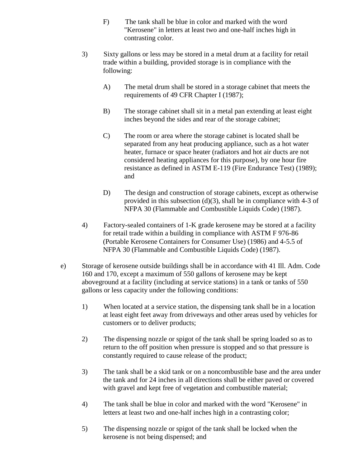- F) The tank shall be blue in color and marked with the word "Kerosene" in letters at least two and one-half inches high in contrasting color.
- 3) Sixty gallons or less may be stored in a metal drum at a facility for retail trade within a building, provided storage is in compliance with the following:
	- A) The metal drum shall be stored in a storage cabinet that meets the requirements of 49 CFR Chapter I (1987);
	- B) The storage cabinet shall sit in a metal pan extending at least eight inches beyond the sides and rear of the storage cabinet;
	- C) The room or area where the storage cabinet is located shall be separated from any heat producing appliance, such as a hot water heater, furnace or space heater (radiators and hot air ducts are not considered heating appliances for this purpose), by one hour fire resistance as defined in ASTM E-119 (Fire Endurance Test) (1989); and
	- D) The design and construction of storage cabinets, except as otherwise provided in this subsection  $(d)(3)$ , shall be in compliance with 4-3 of NFPA 30 (Flammable and Combustible Liquids Code) (1987).
- 4) Factory-sealed containers of 1-K grade kerosene may be stored at a facility for retail trade within a building in compliance with ASTM F 976-86 (Portable Kerosene Containers for Consumer Use) (1986) and 4-5.5 of NFPA 30 (Flammable and Combustible Liquids Code) (1987).
- e) Storage of kerosene outside buildings shall be in accordance with 41 Ill. Adm. Code 160 and 170, except a maximum of 550 gallons of kerosene may be kept aboveground at a facility (including at service stations) in a tank or tanks of 550 gallons or less capacity under the following conditions:
	- 1) When located at a service station, the dispensing tank shall be in a location at least eight feet away from driveways and other areas used by vehicles for customers or to deliver products;
	- 2) The dispensing nozzle or spigot of the tank shall be spring loaded so as to return to the off position when pressure is stopped and so that pressure is constantly required to cause release of the product;
	- 3) The tank shall be a skid tank or on a noncombustible base and the area under the tank and for 24 inches in all directions shall be either paved or covered with gravel and kept free of vegetation and combustible material;
	- 4) The tank shall be blue in color and marked with the word "Kerosene" in letters at least two and one-half inches high in a contrasting color;
	- 5) The dispensing nozzle or spigot of the tank shall be locked when the kerosene is not being dispensed; and